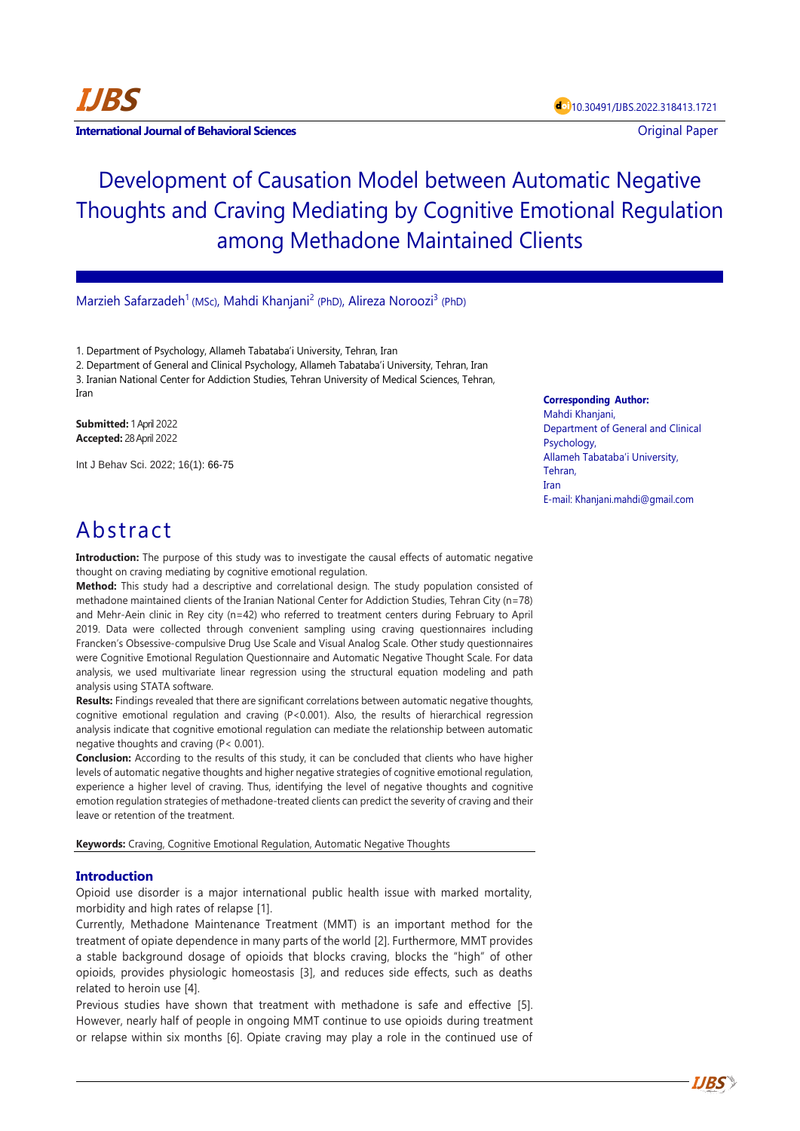

**International Journal of Behavioral Sciences Contract Contract Contract Contract Contract Contract Contract Contract Contract Contract Contract Contract Contract Contract Contract Contract Contract Contract Contract Con** 

# Development of Causation Model between Automatic Negative Thoughts and Craving Mediating by Cognitive Emotional Regulation among Methadone Maintained Clients

Marzieh Safarzadeh<sup>1</sup> (MSc), Mahdi Khanjani<sup>2</sup> (PhD), Alireza Noroozi<sup>3</sup> (PhD)

1. Department of Psychology, Allameh Tabataba'i University, Tehran, Iran

2. Department of General and Clinical Psychology, Allameh Tabataba'i University, Tehran, Iran 3. Iranian National Center for Addiction Studies, Tehran University of Medical Sciences, Tehran, Iran

**Submitted:** 1 April 2022 **Accepted:** 28 April 2022

Int J Behav Sci. 2022; 16(1): 66-75

## **Corresponding Author:**

Mahdi Khanjani, Department of General and Clinical Psychology, Allameh Tabataba'i University, Tehran, Iran E-mail[: Khanjani.mahdi@gmail.com](mailto:Khanjani.mahdi@gmail.com)

## Abstract

**Introduction:** The purpose of this study was to investigate the causal effects of automatic negative thought on craving mediating by cognitive emotional regulation.

**Method:** This study had a descriptive and correlational design. The study population consisted of methadone maintained clients of the Iranian National Center for Addiction Studies, Tehran City (n=78) and Mehr-Aein clinic in Rey city (n=42) who referred to treatment centers during February to April 2019. Data were collected through convenient sampling using craving questionnaires including Francken's Obsessive-compulsive Drug Use Scale and Visual Analog Scale. Other study questionnaires were Cognitive Emotional Regulation Questionnaire and Automatic Negative Thought Scale. For data analysis, we used multivariate linear regression using the structural equation modeling and path analysis using STATA software.

**Results:** Findings revealed that there are significant correlations between automatic negative thoughts, cognitive emotional regulation and craving (P<0.001). Also, the results of hierarchical regression analysis indicate that cognitive emotional regulation can mediate the relationship between automatic negative thoughts and craving (P< 0.001).

**Conclusion:** According to the results of this study, it can be concluded that clients who have higher levels of automatic negative thoughts and higher negative strategies of cognitive emotional regulation, experience a higher level of craving. Thus, identifying the level of negative thoughts and cognitive emotion regulation strategies of methadone-treated clients can predict the severity of craving and their leave or retention of the treatment.

**Keywords:** Craving, Cognitive Emotional Regulation, Automatic Negative Thoughts

## **Introduction**

Opioid use disorder is a major international public health issue with marked mortality, morbidity and high rates of relapse [1].

Currently, Methadone Maintenance Treatment (MMT) is an important method for the treatment of opiate dependence in many parts of the world [2]. Furthermore, MMT provides a stable background dosage of opioids that blocks craving, blocks the "high" of other opioids, provides physiologic homeostasis [3], and reduces side effects, such as deaths related to heroin use [4].

Previous studies have shown that treatment with methadone is safe and effective [5]. However, nearly half of people in ongoing MMT continue to use opioids during treatment or relapse within six months [6]. Opiate craving may play a role in the continued use of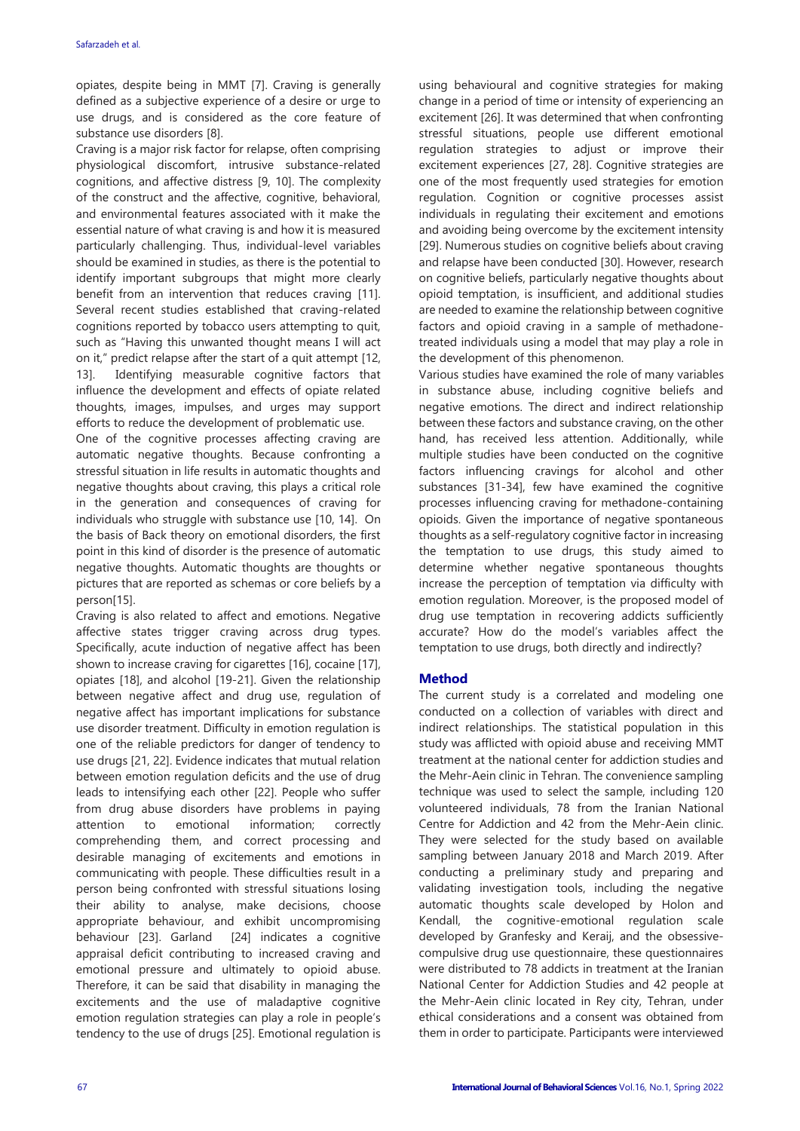opiates, despite being in MMT [7]. Craving is generally defined as a subjective experience of a desire or urge to use drugs, and is considered as the core feature of substance use disorders [8].

Craving is a major risk factor for relapse, often comprising physiological discomfort, intrusive substance-related cognitions, and affective distress [9, 10]. The complexity of the construct and the affective, cognitive, behavioral, and environmental features associated with it make the essential nature of what craving is and how it is measured particularly challenging. Thus, individual-level variables should be examined in studies, as there is the potential to identify important subgroups that might more clearly benefit from an intervention that reduces craving [11]. Several recent studies established that craving-related cognitions reported by tobacco users attempting to quit, such as "Having this unwanted thought means I will act on it," predict relapse after the start of a quit attempt [12, 13]. Identifying measurable cognitive factors that influence the development and effects of opiate related thoughts, images, impulses, and urges may support efforts to reduce the development of problematic use.

One of the cognitive processes affecting craving are automatic negative thoughts. Because confronting a stressful situation in life results in automatic thoughts and negative thoughts about craving, this plays a critical role in the generation and consequences of craving for individuals who struggle with substance use [10, 14]. On the basis of Back theory on emotional disorders, the first point in this kind of disorder is the presence of automatic negative thoughts. Automatic thoughts are thoughts or pictures that are reported as schemas or core beliefs by a person[15].

Craving is also related to affect and emotions. Negative affective states trigger craving across drug types. Specifically, acute induction of negative affect has been shown to increase craving for cigarettes [16], cocaine [17], opiates [18], and alcohol [19-21]. Given the relationship between negative affect and drug use, regulation of negative affect has important implications for substance use disorder treatment. Difficulty in emotion regulation is one of the reliable predictors for danger of tendency to use drugs [21, 22]. Evidence indicates that mutual relation between emotion regulation deficits and the use of drug leads to intensifying each other [22]. People who suffer from drug abuse disorders have problems in paying attention to emotional information; correctly comprehending them, and correct processing and desirable managing of excitements and emotions in communicating with people. These difficulties result in a person being confronted with stressful situations losing their ability to analyse, make decisions, choose appropriate behaviour, and exhibit uncompromising behaviour [23]. Garland [24] indicates a cognitive appraisal deficit contributing to increased craving and emotional pressure and ultimately to opioid abuse. Therefore, it can be said that disability in managing the excitements and the use of maladaptive cognitive emotion regulation strategies can play a role in people's tendency to the use of drugs [25]. Emotional regulation is using behavioural and cognitive strategies for making change in a period of time or intensity of experiencing an excitement [26]. It was determined that when confronting stressful situations, people use different emotional regulation strategies to adjust or improve their excitement experiences [27, 28]. Cognitive strategies are one of the most frequently used strategies for emotion regulation. Cognition or cognitive processes assist individuals in regulating their excitement and emotions and avoiding being overcome by the excitement intensity [29]. Numerous studies on cognitive beliefs about craving and relapse have been conducted [30]. However, research on cognitive beliefs, particularly negative thoughts about opioid temptation, is insufficient, and additional studies are needed to examine the relationship between cognitive factors and opioid craving in a sample of methadonetreated individuals using a model that may play a role in the development of this phenomenon.

Various studies have examined the role of many variables in substance abuse, including cognitive beliefs and negative emotions. The direct and indirect relationship between these factors and substance craving, on the other hand, has received less attention. Additionally, while multiple studies have been conducted on the cognitive factors influencing cravings for alcohol and other substances [31-34], few have examined the cognitive processes influencing craving for methadone-containing opioids. Given the importance of negative spontaneous thoughts as a self-regulatory cognitive factor in increasing the temptation to use drugs, this study aimed to determine whether negative spontaneous thoughts increase the perception of temptation via difficulty with emotion regulation. Moreover, is the proposed model of drug use temptation in recovering addicts sufficiently accurate? How do the model's variables affect the temptation to use drugs, both directly and indirectly?

## **Method**

The current study is a correlated and modeling one conducted on a collection of variables with direct and indirect relationships. The statistical population in this study was afflicted with opioid abuse and receiving MMT treatment at the national center for addiction studies and the Mehr-Aein clinic in Tehran. The convenience sampling technique was used to select the sample, including 120 volunteered individuals, 78 from the Iranian National Centre for Addiction and 42 from the Mehr-Aein clinic. They were selected for the study based on available sampling between January 2018 and March 2019. After conducting a preliminary study and preparing and validating investigation tools, including the negative automatic thoughts scale developed by Holon and Kendall, the cognitive-emotional regulation scale developed by Granfesky and Keraij, and the obsessivecompulsive drug use questionnaire, these questionnaires were distributed to 78 addicts in treatment at the Iranian National Center for Addiction Studies and 42 people at the Mehr-Aein clinic located in Rey city, Tehran, under ethical considerations and a consent was obtained from them in order to participate. Participants were interviewed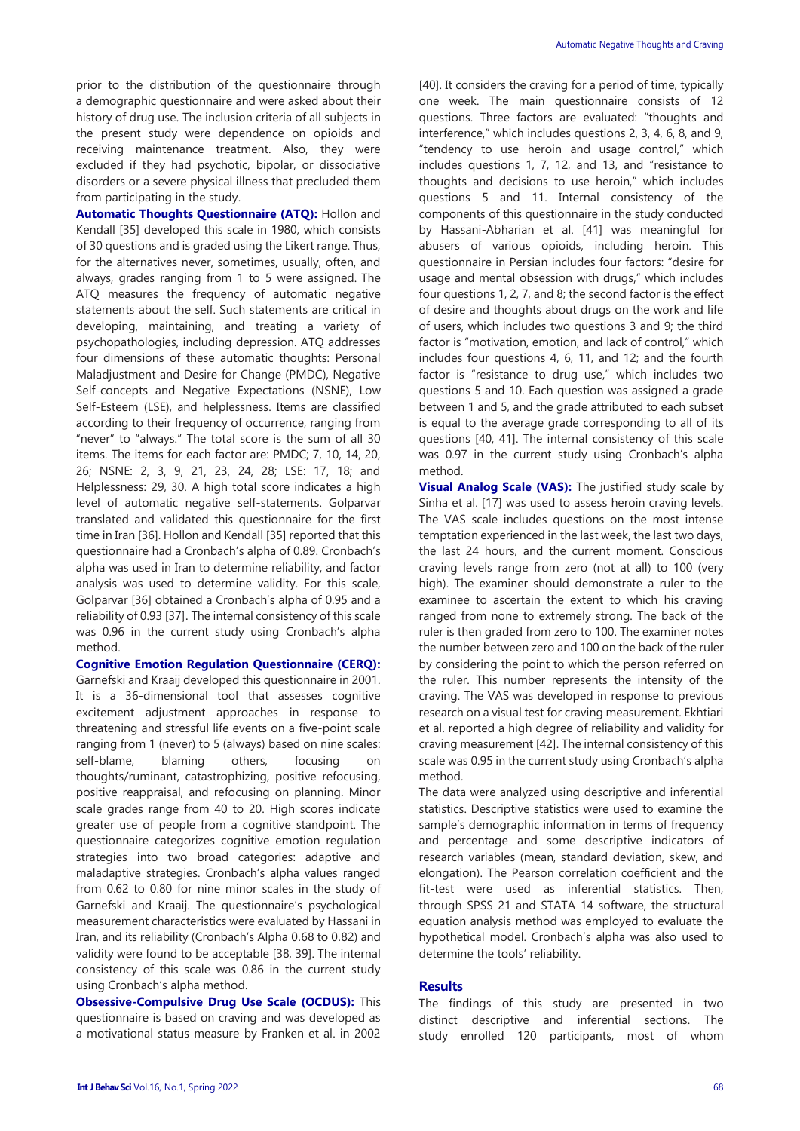prior to the distribution of the questionnaire through a demographic questionnaire and were asked about their history of drug use. The inclusion criteria of all subjects in the present study were dependence on opioids and receiving maintenance treatment. Also, they were excluded if they had psychotic, bipolar, or dissociative disorders or a severe physical illness that precluded them from participating in the study.

**Automatic Thoughts Questionnaire (ATQ):** Hollon and Kendall [35] developed this scale in 1980, which consists of 30 questions and is graded using the Likert range. Thus, for the alternatives never, sometimes, usually, often, and always, grades ranging from 1 to 5 were assigned. The ATQ measures the frequency of automatic negative statements about the self. Such statements are critical in developing, maintaining, and treating a variety of psychopathologies, including depression. ATQ addresses four dimensions of these automatic thoughts: Personal Maladjustment and Desire for Change (PMDC), Negative Self-concepts and Negative Expectations (NSNE), Low Self-Esteem (LSE), and helplessness. Items are classified according to their frequency of occurrence, ranging from "never" to "always." The total score is the sum of all 30 items. The items for each factor are: PMDC; 7, 10, 14, 20, 26; NSNE: 2, 3, 9, 21, 23, 24, 28; LSE: 17, 18; and Helplessness: 29, 30. A high total score indicates a high level of automatic negative self-statements. Golparvar translated and validated this questionnaire for the first time in Iran [36]. Hollon and Kendall [35] reported that this questionnaire had a Cronbach's alpha of 0.89. Cronbach's alpha was used in Iran to determine reliability, and factor analysis was used to determine validity. For this scale, Golparvar [36] obtained a Cronbach's alpha of 0.95 and a reliability of 0.93 [37]. The internal consistency of this scale was 0.96 in the current study using Cronbach's alpha method.

**Cognitive Emotion Regulation Questionnaire (CERQ):** Garnefski and Kraaij developed this questionnaire in 2001. It is a 36-dimensional tool that assesses cognitive excitement adjustment approaches in response to threatening and stressful life events on a five-point scale ranging from 1 (never) to 5 (always) based on nine scales: self-blame, blaming others, focusing on thoughts/ruminant, catastrophizing, positive refocusing, positive reappraisal, and refocusing on planning. Minor scale grades range from 40 to 20. High scores indicate greater use of people from a cognitive standpoint. The questionnaire categorizes cognitive emotion regulation strategies into two broad categories: adaptive and maladaptive strategies. Cronbach's alpha values ranged from 0.62 to 0.80 for nine minor scales in the study of Garnefski and Kraaij. The questionnaire's psychological measurement characteristics were evaluated by Hassani in Iran, and its reliability (Cronbach's Alpha 0.68 to 0.82) and validity were found to be acceptable [38, 39]. The internal consistency of this scale was 0.86 in the current study using Cronbach's alpha method.

**Obsessive-Compulsive Drug Use Scale (OCDUS):** This questionnaire is based on craving and was developed as a motivational status measure by Franken et al. in 2002 [40]. It considers the craving for a period of time, typically one week. The main questionnaire consists of 12 questions. Three factors are evaluated: "thoughts and interference," which includes questions 2, 3, 4, 6, 8, and 9, "tendency to use heroin and usage control," which includes questions 1, 7, 12, and 13, and "resistance to thoughts and decisions to use heroin," which includes questions 5 and 11. Internal consistency of the components of this questionnaire in the study conducted by Hassani-Abharian et al. [41] was meaningful for abusers of various opioids, including heroin. This questionnaire in Persian includes four factors: "desire for usage and mental obsession with drugs," which includes four questions 1, 2, 7, and 8; the second factor is the effect of desire and thoughts about drugs on the work and life of users, which includes two questions 3 and 9; the third factor is "motivation, emotion, and lack of control," which includes four questions 4, 6, 11, and 12; and the fourth factor is "resistance to drug use," which includes two questions 5 and 10. Each question was assigned a grade between 1 and 5, and the grade attributed to each subset is equal to the average grade corresponding to all of its questions [40, 41]. The internal consistency of this scale was 0.97 in the current study using Cronbach's alpha method.

**Visual Analog Scale (VAS):** The justified study scale by Sinha et al. [17] was used to assess heroin craving levels. The VAS scale includes questions on the most intense temptation experienced in the last week, the last two days, the last 24 hours, and the current moment. Conscious craving levels range from zero (not at all) to 100 (very high). The examiner should demonstrate a ruler to the examinee to ascertain the extent to which his craving ranged from none to extremely strong. The back of the ruler is then graded from zero to 100. The examiner notes the number between zero and 100 on the back of the ruler by considering the point to which the person referred on the ruler. This number represents the intensity of the craving. The VAS was developed in response to previous research on a visual test for craving measurement. Ekhtiari et al. reported a high degree of reliability and validity for craving measurement [42]. The internal consistency of this scale was 0.95 in the current study using Cronbach's alpha method.

The data were analyzed using descriptive and inferential statistics. Descriptive statistics were used to examine the sample's demographic information in terms of frequency and percentage and some descriptive indicators of research variables (mean, standard deviation, skew, and elongation). The Pearson correlation coefficient and the fit-test were used as inferential statistics. Then, through SPSS 21 and STATA 14 software, the structural equation analysis method was employed to evaluate the hypothetical model. Cronbach's alpha was also used to determine the tools' reliability.

#### **Results**

The findings of this study are presented in two distinct descriptive and inferential sections. The study enrolled 120 participants, most of whom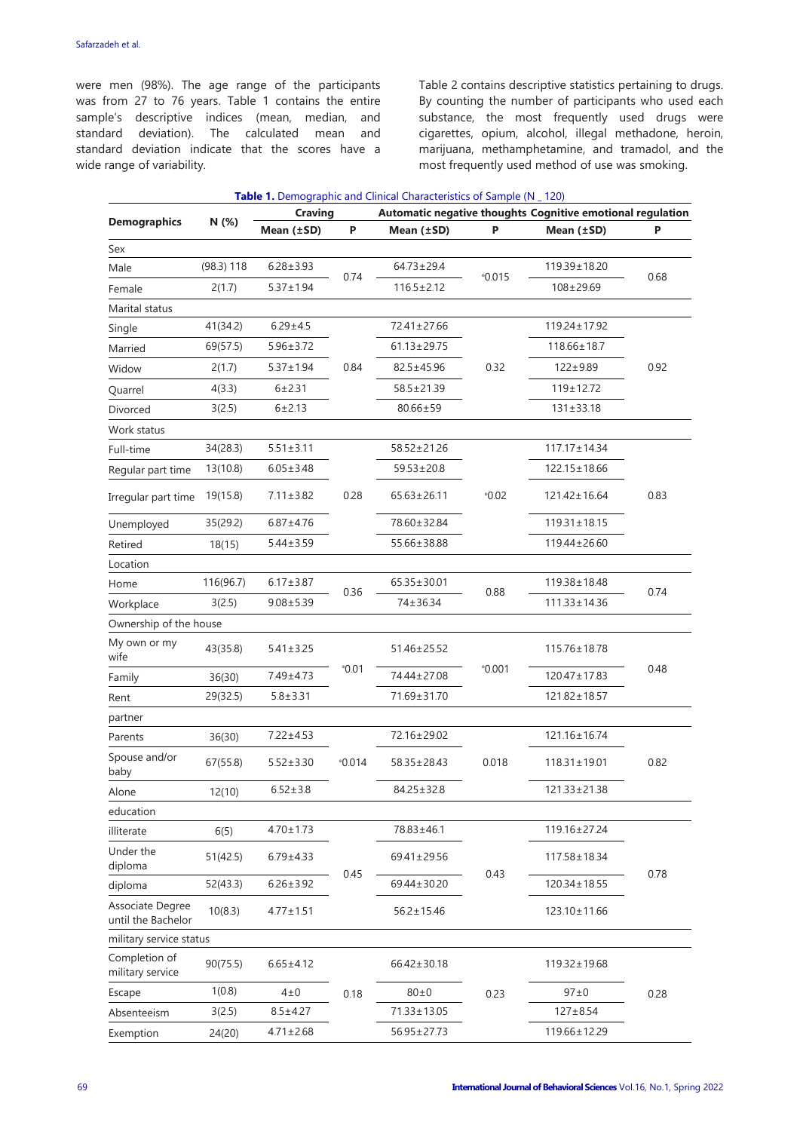were men (98%). The age range of the participants was from 27 to 76 years. Table 1 contains the entire sample's descriptive indices (mean, median, and standard deviation). The calculated mean and standard deviation indicate that the scores have a wide range of variability.

Table 2 contains descriptive statistics pertaining to drugs. By counting the number of participants who used each substance, the most frequently used drugs were cigarettes, opium, alcohol, illegal methadone, heroin, marijuana, methamphetamine, and tramadol, and the most frequently used method of use was smoking.

|                                        |            | <b>Craving</b>  |                | <b>Table 1.</b> Demographic and Clinical Characteristics of Sample (N _ 120)<br>Automatic negative thoughts Cognitive emotional regulation |          |                    |      |  |  |  |
|----------------------------------------|------------|-----------------|----------------|--------------------------------------------------------------------------------------------------------------------------------------------|----------|--------------------|------|--|--|--|
| <b>Demographics</b>                    | N (%)      | Mean $(\pm SD)$ | P              | Mean $(\pm SD)$                                                                                                                            | P        | Mean $(\pm SD)$    | Ρ    |  |  |  |
| Sex                                    |            |                 |                |                                                                                                                                            |          |                    |      |  |  |  |
| Male                                   | (98.3) 118 | $6.28 \pm 3.93$ |                | $64.73 \pm 29.4$                                                                                                                           |          | 119.39±18.20       |      |  |  |  |
| Female                                 | 2(1.7)     | $5.37 \pm 1.94$ | 0.74           | $116.5 \pm 2.12$                                                                                                                           | $*0.015$ | $108 + 29.69$      | 0.68 |  |  |  |
| Marital status                         |            |                 |                |                                                                                                                                            |          |                    |      |  |  |  |
| Single                                 | 41(34.2)   | $6.29 \pm 4.5$  |                | 72.41±27.66                                                                                                                                |          | 119.24±17.92       |      |  |  |  |
| Married                                | 69(57.5)   | $5.96 \pm 3.72$ |                | $61.13 \pm 29.75$                                                                                                                          |          | $118.66 \pm 18.7$  |      |  |  |  |
| Widow                                  | 2(1.7)     | $5.37 \pm 1.94$ | 0.84           | 82.5±45.96                                                                                                                                 | 0.32     | $122 + 9.89$       | 0.92 |  |  |  |
| Quarrel                                | 4(3.3)     | $6 + 2.31$      |                | 58.5±21.39                                                                                                                                 |          | $119 \pm 12.72$    |      |  |  |  |
| Divorced                               | 3(2.5)     | 6 ± 2.13        |                | $80.66 \pm 59$                                                                                                                             |          | $131 \pm 33.18$    |      |  |  |  |
| Work status                            |            |                 |                |                                                                                                                                            |          |                    |      |  |  |  |
| Full-time                              | 34(28.3)   | $5.51 \pm 3.11$ |                | 58.52±21.26                                                                                                                                |          | $117.17 \pm 14.34$ |      |  |  |  |
| Regular part time                      | 13(10.8)   | $6.05 \pm 3.48$ |                | $59.53 \pm 20.8$                                                                                                                           |          | 122.15±18.66       |      |  |  |  |
| Irregular part time                    | 19(15.8)   | $7.11 \pm 3.82$ | 0.28           | $65.63 \pm 26.11$                                                                                                                          | $^*0.02$ | $121.42 \pm 16.64$ | 0.83 |  |  |  |
| Unemployed                             | 35(29.2)   | $6.87 \pm 4.76$ |                | 78.60±32.84                                                                                                                                |          | $119.31 \pm 18.15$ |      |  |  |  |
| Retired                                | 18(15)     | $5.44 \pm 3.59$ |                | 55.66±38.88                                                                                                                                |          | 119.44±26.60       |      |  |  |  |
| Location                               |            |                 |                |                                                                                                                                            |          |                    |      |  |  |  |
| Home                                   | 116(96.7)  | $6.17 \pm 3.87$ |                | $65.35 \pm 30.01$                                                                                                                          | 0.88     | 119.38±18.48       | 0.74 |  |  |  |
| Workplace                              | 3(2.5)     | $9.08 \pm 5.39$ | 0.36           | 74±36.34                                                                                                                                   |          | $111.33 \pm 14.36$ |      |  |  |  |
| Ownership of the house                 |            |                 |                |                                                                                                                                            |          |                    |      |  |  |  |
| My own or my<br>wife                   | 43(35.8)   | $5.41 \pm 3.25$ |                | 51.46±25.52                                                                                                                                |          | 115.76±18.78       |      |  |  |  |
| Family                                 | 36(30)     | 7.49±4.73       | $^{\circ}0.01$ | 74.44±27.08                                                                                                                                | $*0.001$ | 120.47±17.83       | 0.48 |  |  |  |
| Rent                                   | 29(32.5)   | $5.8 + 3.31$    |                | 71.69±31.70                                                                                                                                |          | 121.82±18.57       |      |  |  |  |
| partner                                |            |                 |                |                                                                                                                                            |          |                    |      |  |  |  |
| Parents                                | 36(30)     | $7.22 \pm 4.53$ |                | 72.16±29.02                                                                                                                                |          | 121.16±16.74       |      |  |  |  |
| Spouse and/or<br>baby                  | 67(55.8)   | $5.52 \pm 3.30$ | $^*0.014$      | 58.35±28.43                                                                                                                                | 0.018    | $118.31 \pm 19.01$ | 0.82 |  |  |  |
| Alone                                  | 12(10)     | $6.52 \pm 3.8$  |                | $84.25 \pm 32.8$                                                                                                                           |          | 121.33±21.38       |      |  |  |  |
| education                              |            |                 |                |                                                                                                                                            |          |                    |      |  |  |  |
| illiterate                             | 6(5)       | $4.70 \pm 1.73$ |                | 78.83±46.1                                                                                                                                 |          | 119.16±27.24       |      |  |  |  |
| Under the<br>diploma                   | 51(42.5)   | $6.79 \pm 4.33$ |                | 69.41±29.56                                                                                                                                |          | 117.58±18.34       |      |  |  |  |
| diploma                                | 52(43.3)   | $6.26 \pm 3.92$ | 0.45           | 69.44±30.20                                                                                                                                | 0.43     | 120.34±18.55       | 0.78 |  |  |  |
| Associate Degree<br>until the Bachelor | 10(8.3)    | $4.77 \pm 1.51$ |                | $56.2 \pm 15.46$                                                                                                                           |          | 123.10±11.66       |      |  |  |  |
| military service status                |            |                 |                |                                                                                                                                            |          |                    |      |  |  |  |
| Completion of<br>military service      | 90(75.5)   | $6.65 \pm 4.12$ |                | 66.42±30.18                                                                                                                                |          | 119.32±19.68       |      |  |  |  |
| Escape                                 | 1(0.8)     | $4\pm0$         | 0.18           | $80\pm0$                                                                                                                                   | 0.23     | $97\pm0$           | 0.28 |  |  |  |
| Absenteeism                            | 3(2.5)     | $8.5 \pm 4.27$  |                | 71.33±13.05                                                                                                                                |          | $127 + 8.54$       |      |  |  |  |
| Exemption                              | 24(20)     | $4.71 \pm 2.68$ |                | 56.95±27.73                                                                                                                                |          | 119.66±12.29       |      |  |  |  |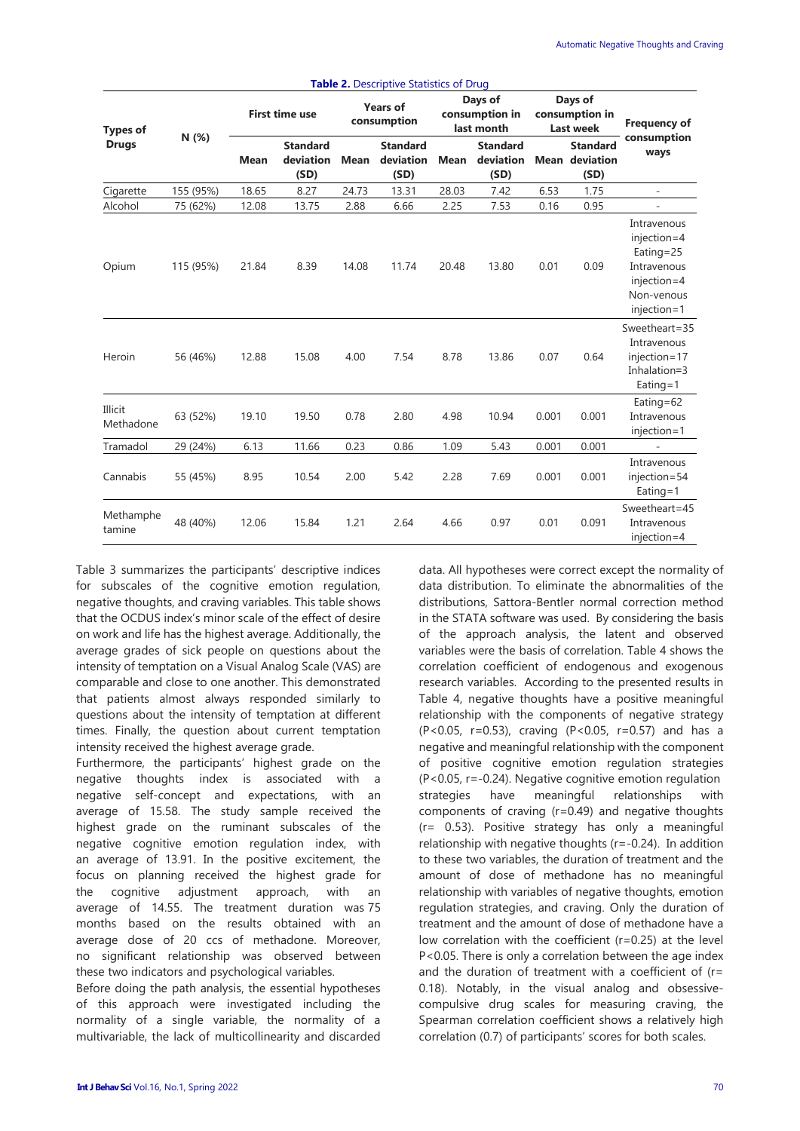|                                 | <b>Table 2.</b> Descriptive Statistics of Drug |                       |                                      |                                |                                      |                                         |                                      |                                        |                                                  |                                                                                                    |  |
|---------------------------------|------------------------------------------------|-----------------------|--------------------------------------|--------------------------------|--------------------------------------|-----------------------------------------|--------------------------------------|----------------------------------------|--------------------------------------------------|----------------------------------------------------------------------------------------------------|--|
| <b>Types of</b><br><b>Drugs</b> | N(%)                                           | <b>First time use</b> |                                      | <b>Years of</b><br>consumption |                                      | Days of<br>consumption in<br>last month |                                      | Days of<br>consumption in<br>Last week |                                                  | <b>Frequency of</b>                                                                                |  |
|                                 |                                                | <b>Mean</b>           | <b>Standard</b><br>deviation<br>(SD) | <b>Mean</b>                    | <b>Standard</b><br>deviation<br>(SD) | <b>Mean</b>                             | <b>Standard</b><br>deviation<br>(SD) |                                        | <b>Standard</b><br><b>Mean deviation</b><br>(SD) | consumption<br>ways                                                                                |  |
| Cigarette                       | 155 (95%)                                      | 18.65                 | 8.27                                 | 24.73                          | 13.31                                | 28.03                                   | 7.42                                 | 6.53                                   | 1.75                                             | ÷,                                                                                                 |  |
| Alcohol                         | 75 (62%)                                       | 12.08                 | 13.75                                | 2.88                           | 6.66                                 | 2.25                                    | 7.53                                 | 0.16                                   | 0.95                                             | $\overline{\phantom{m}}$                                                                           |  |
| Opium                           | 115 (95%)                                      | 21.84                 | 8.39                                 | 14.08                          | 11.74                                | 20.48                                   | 13.80                                | 0.01                                   | 0.09                                             | Intravenous<br>injection=4<br>Eating=25<br>Intravenous<br>injection=4<br>Non-venous<br>injection=1 |  |
| Heroin                          | 56 (46%)                                       | 12.88                 | 15.08                                | 4.00                           | 7.54                                 | 8.78                                    | 13.86                                | 0.07                                   | 0.64                                             | Sweetheart=35<br>Intravenous<br>injection=17<br>Inhalation=3<br>Eating= $1$                        |  |
| Illicit<br>Methadone            | 63 (52%)                                       | 19.10                 | 19.50                                | 0.78                           | 2.80                                 | 4.98                                    | 10.94                                | 0.001                                  | 0.001                                            | Eating=62<br>Intravenous<br>injection=1                                                            |  |
| Tramadol                        | 29 (24%)                                       | 6.13                  | 11.66                                | 0.23                           | 0.86                                 | 1.09                                    | 5.43                                 | 0.001                                  | 0.001                                            |                                                                                                    |  |
| Cannabis                        | 55 (45%)                                       | 8.95                  | 10.54                                | 2.00                           | 5.42                                 | 2.28                                    | 7.69                                 | 0.001                                  | 0.001                                            | Intravenous<br>injection=54<br>Eating= $1$                                                         |  |
| Methamphe<br>tamine             | 48 (40%)                                       | 12.06                 | 15.84                                | 1.21                           | 2.64                                 | 4.66                                    | 0.97                                 | 0.01                                   | 0.091                                            | Sweetheart=45<br>Intravenous<br>injection=4                                                        |  |

Table 3 summarizes the participants' descriptive indices for subscales of the cognitive emotion regulation, negative thoughts, and craving variables. This table shows that the OCDUS index's minor scale of the effect of desire on work and life has the highest average. Additionally, the average grades of sick people on questions about the intensity of temptation on a Visual Analog Scale (VAS) are comparable and close to one another. This demonstrated that patients almost always responded similarly to questions about the intensity of temptation at different times. Finally, the question about current temptation intensity received the highest average grade.

Furthermore, the participants' highest grade on the negative thoughts index is associated with a negative self-concept and expectations, with an average of 15.58. The study sample received the highest grade on the ruminant subscales of the negative cognitive emotion regulation index, with an average of 13.91. In the positive excitement, the focus on planning received the highest grade for the cognitive adjustment approach, with an average of 14.55. The treatment duration was 75 months based on the results obtained with an average dose of 20 ccs of methadone. Moreover, no significant relationship was observed between these two indicators and psychological variables.

Before doing the path analysis, the essential hypotheses of this approach were investigated including the normality of a single variable, the normality of a multivariable, the lack of multicollinearity and discarded data. All hypotheses were correct except the normality of data distribution. To eliminate the abnormalities of the distributions, Sattora-Bentler normal correction method in the STATA software was used. By considering the basis of the approach analysis, the latent and observed variables were the basis of correlation. Table 4 shows the correlation coefficient of endogenous and exogenous research variables. According to the presented results in Table 4, negative thoughts have a positive meaningful relationship with the components of negative strategy (P<0.05, r=0.53), craving (P<0.05, r=0.57) and has a negative and meaningful relationship with the component of positive cognitive emotion regulation strategies (P<0.05, r=-0.24). Negative cognitive emotion regulation strategies have meaningful relationships with components of craving (r=0.49) and negative thoughts (r= 0.53). Positive strategy has only a meaningful relationship with negative thoughts (r=-0.24). In addition to these two variables, the duration of treatment and the amount of dose of methadone has no meaningful relationship with variables of negative thoughts, emotion regulation strategies, and craving. Only the duration of treatment and the amount of dose of methadone have a low correlation with the coefficient (r=0.25) at the level P<0.05. There is only a correlation between the age index and the duration of treatment with a coefficient of (r= 0.18). Notably, in the visual analog and obsessivecompulsive drug scales for measuring craving, the Spearman correlation coefficient shows a relatively high correlation (0.7) of participants' scores for both scales.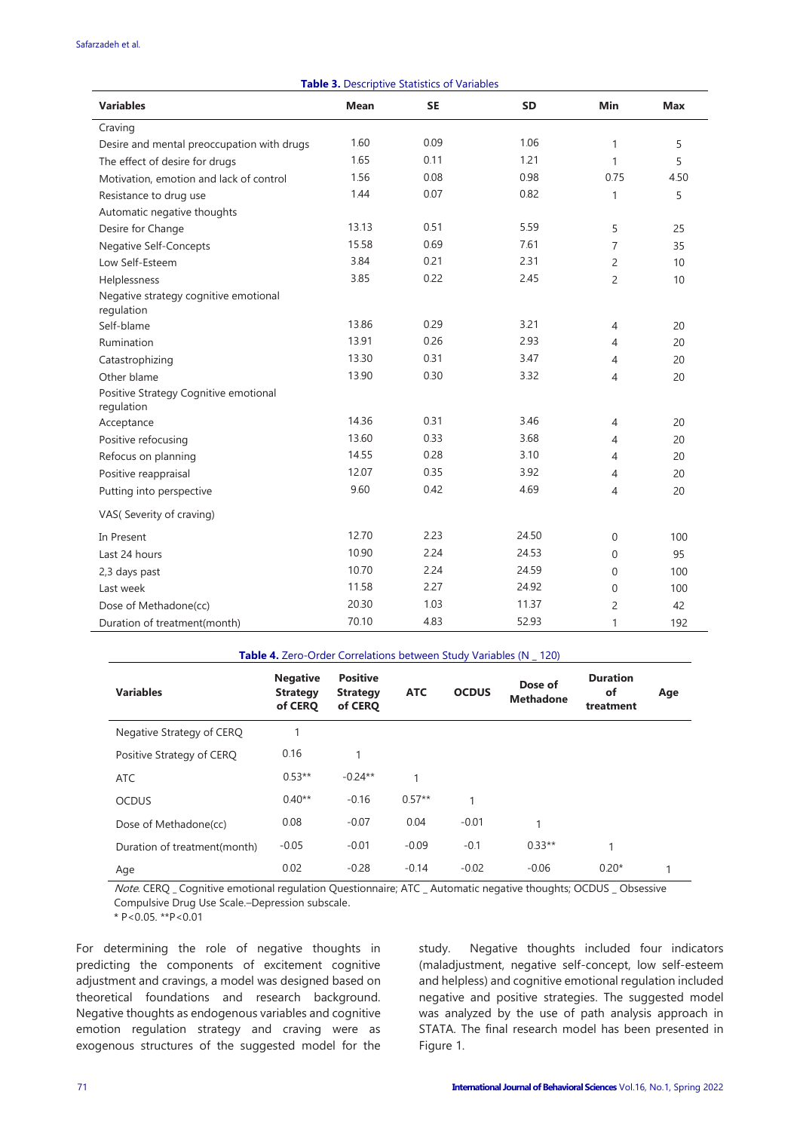#### Safarzadeh et al.

| <b>Table 3. Descriptive Statistics of Variables</b> |             |           |           |                |            |  |  |  |
|-----------------------------------------------------|-------------|-----------|-----------|----------------|------------|--|--|--|
| <b>Variables</b>                                    | <b>Mean</b> | <b>SE</b> | <b>SD</b> | Min            | <b>Max</b> |  |  |  |
| Craving                                             |             |           |           |                |            |  |  |  |
| Desire and mental preoccupation with drugs          | 1.60        | 0.09      | 1.06      | $\mathbf{1}$   | 5          |  |  |  |
| The effect of desire for drugs                      | 1.65        | 0.11      | 1.21      | $\mathbf{1}$   | 5          |  |  |  |
| Motivation, emotion and lack of control             | 1.56        | 0.08      | 0.98      | 0.75           | 4.50       |  |  |  |
| Resistance to drug use                              | 1.44        | 0.07      | 0.82      | $\mathbf{1}$   | 5          |  |  |  |
| Automatic negative thoughts                         |             |           |           |                |            |  |  |  |
| Desire for Change                                   | 13.13       | 0.51      | 5.59      | 5              | 25         |  |  |  |
| <b>Negative Self-Concepts</b>                       | 15.58       | 0.69      | 7.61      | 7              | 35         |  |  |  |
| Low Self-Esteem                                     | 3.84        | 0.21      | 2.31      | $\overline{c}$ | 10         |  |  |  |
| Helplessness                                        | 3.85        | 0.22      | 2.45      | $\overline{c}$ | 10         |  |  |  |
| Negative strategy cognitive emotional<br>regulation |             |           |           |                |            |  |  |  |
| Self-blame                                          | 13.86       | 0.29      | 3.21      | 4              | 20         |  |  |  |
| Rumination                                          | 13.91       | 0.26      | 2.93      | 4              | 20         |  |  |  |
| Catastrophizing                                     | 13.30       | 0.31      | 3.47      | 4              | 20         |  |  |  |
| Other blame                                         | 13.90       | 0.30      | 3.32      | 4              | 20         |  |  |  |
| Positive Strategy Cognitive emotional<br>regulation |             |           |           |                |            |  |  |  |
| Acceptance                                          | 14.36       | 0.31      | 3.46      | 4              | 20         |  |  |  |
| Positive refocusing                                 | 13.60       | 0.33      | 3.68      | 4              | 20         |  |  |  |
| Refocus on planning                                 | 14.55       | 0.28      | 3.10      | 4              | 20         |  |  |  |
| Positive reappraisal                                | 12.07       | 0.35      | 3.92      | 4              | 20         |  |  |  |
| Putting into perspective                            | 9.60        | 0.42      | 4.69      | 4              | 20         |  |  |  |
| VAS(Severity of craving)                            |             |           |           |                |            |  |  |  |
| In Present                                          | 12.70       | 2.23      | 24.50     | 0              | 100        |  |  |  |
| Last 24 hours                                       | 10.90       | 2.24      | 24.53     | 0              | 95         |  |  |  |
| 2,3 days past                                       | 10.70       | 2.24      | 24.59     | $\mathbf 0$    | 100        |  |  |  |
| Last week                                           | 11.58       | 2.27      | 24.92     | 0              | 100        |  |  |  |
| Dose of Methadone(cc)                               | 20.30       | 1.03      | 11.37     | $\overline{c}$ | 42         |  |  |  |
| Duration of treatment(month)                        | 70.10       | 4.83      | 52.93     | 1              | 192        |  |  |  |

|                              | <b>Table 4.</b> Zero-Order Correlations between Study Variables (N 120) |                                               |            |              |                             |                                    |     |
|------------------------------|-------------------------------------------------------------------------|-----------------------------------------------|------------|--------------|-----------------------------|------------------------------------|-----|
| <b>Variables</b>             | <b>Negative</b><br><b>Strategy</b><br>of CERO                           | <b>Positive</b><br><b>Strategy</b><br>of CERO | <b>ATC</b> | <b>OCDUS</b> | Dose of<br><b>Methadone</b> | <b>Duration</b><br>of<br>treatment | Age |
| Negative Strategy of CERQ    | 1                                                                       |                                               |            |              |                             |                                    |     |
| Positive Strategy of CERQ    | 0.16                                                                    | 1                                             |            |              |                             |                                    |     |
| <b>ATC</b>                   | $0.53**$                                                                | $-0.24**$                                     | 1          |              |                             |                                    |     |
| <b>OCDUS</b>                 | $0.40**$                                                                | $-0.16$                                       | $0.57**$   | 1            |                             |                                    |     |
| Dose of Methadone(cc)        | 0.08                                                                    | $-0.07$                                       | 0.04       | $-0.01$      |                             |                                    |     |
| Duration of treatment(month) | $-0.05$                                                                 | $-0.01$                                       | $-0.09$    | $-0.1$       | $0.33**$                    | 1                                  |     |
| Age                          | 0.02                                                                    | $-0.28$                                       | $-0.14$    | $-0.02$      | $-0.06$                     | $0.20*$                            |     |

Note. CERQ \_ Cognitive emotional regulation Questionnaire; ATC \_ Automatic negative thoughts; OCDUS \_ Obsessive Compulsive Drug Use Scale.–Depression subscale.

\* P<0.05. \*\*P<0.01

For determining the role of negative thoughts in predicting the components of excitement cognitive adjustment and cravings, a model was designed based on theoretical foundations and research background. Negative thoughts as endogenous variables and cognitive emotion regulation strategy and craving were as exogenous structures of the suggested model for the study. Negative thoughts included four indicators (maladjustment, negative self-concept, low self-esteem and helpless) and cognitive emotional regulation included negative and positive strategies. The suggested model was analyzed by the use of path analysis approach in STATA. The final research model has been presented in Figure 1.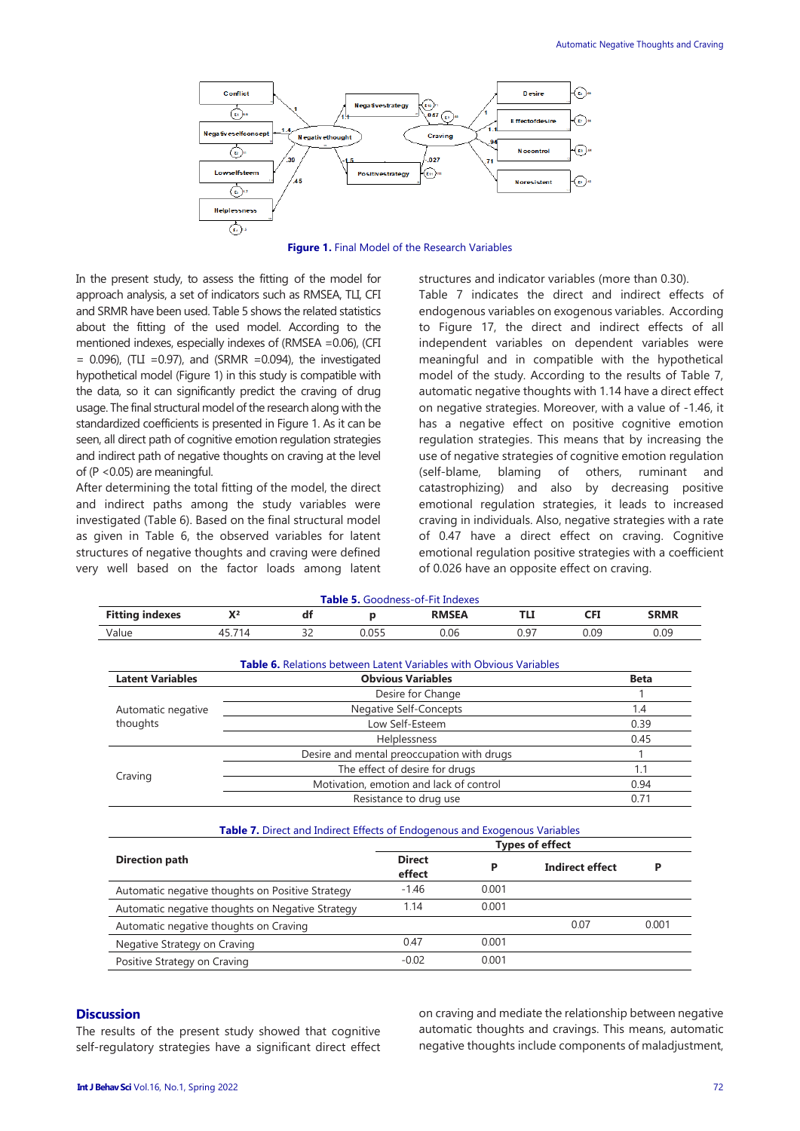

**Figure 1.** Final Model of the Research Variables

In the present study, to assess the fitting of the model for approach analysis, a set of indicators such as RMSEA, TLI, CFI and SRMR have been used. Table 5 shows the related statistics about the fitting of the used model. According to the mentioned indexes, especially indexes of (RMSEA =0.06), (CFI  $= 0.096$ ), (TLI =0.97), and (SRMR =0.094), the investigated hypothetical model (Figure 1) in this study is compatible with the data, so it can significantly predict the craving of drug usage. The final structural model of the research along with the standardized coefficients is presented in Figure 1. As it can be seen, all direct path of cognitive emotion regulation strategies and indirect path of negative thoughts on craving at the level of (P <0.05) are meaningful.

After determining the total fitting of the model, the direct and indirect paths among the study variables were investigated (Table 6). Based on the final structural model as given in Table 6, the observed variables for latent structures of negative thoughts and craving were defined very well based on the factor loads among latent structures and indicator variables (more than 0.30). Table 7 indicates the direct and indirect effects of endogenous variables on exogenous variables. According to Figure 17, the direct and indirect effects of all independent variables on dependent variables were meaningful and in compatible with the hypothetical model of the study. According to the results of Table 7, automatic negative thoughts with 1.14 have a direct effect on negative strategies. Moreover, with a value of -1.46, it has a negative effect on positive cognitive emotion regulation strategies. This means that by increasing the use of negative strategies of cognitive emotion regulation (self-blame, blaming of others, ruminant and catastrophizing) and also by decreasing positive emotional regulation strategies, it leads to increased craving in individuals. Also, negative strategies with a rate of 0.47 have a direct effect on craving. Cognitive emotional regulation positive strategies with a coefficient of 0.026 have an opposite effect on craving.

|                                                  |        |                                                                              |                          | <b>Table 5.</b> Goodness-of-Fit Indexes |       |                        |             |  |
|--------------------------------------------------|--------|------------------------------------------------------------------------------|--------------------------|-----------------------------------------|-------|------------------------|-------------|--|
| <b>Fitting indexes</b>                           | $X^2$  | df                                                                           | р                        | <b>RMSEA</b>                            |       | TLI<br><b>CFI</b>      | <b>SRMR</b> |  |
| Value                                            | 45.714 | 32                                                                           | 0.055                    | 0.06                                    |       | 0.09<br>0.97           | 0.09        |  |
|                                                  |        | Table 6. Relations between Latent Variables with Obvious Variables           |                          |                                         |       |                        |             |  |
| <b>Latent Variables</b>                          |        |                                                                              | <b>Obvious Variables</b> |                                         |       |                        | <b>Beta</b> |  |
|                                                  |        |                                                                              |                          | Desire for Change                       |       |                        | 1           |  |
| Automatic negative                               |        |                                                                              |                          | <b>Negative Self-Concepts</b>           |       |                        | 1.4         |  |
| thoughts                                         |        |                                                                              |                          | Low Self-Esteem                         |       |                        | 0.39        |  |
|                                                  |        |                                                                              | Helplessness             |                                         |       |                        | 0.45        |  |
|                                                  |        | Desire and mental preoccupation with drugs<br>The effect of desire for drugs |                          |                                         |       |                        |             |  |
| Craving                                          |        | 1.1                                                                          |                          |                                         |       |                        |             |  |
|                                                  |        | 0.94                                                                         |                          |                                         |       |                        |             |  |
|                                                  |        |                                                                              |                          | Resistance to drug use                  | 0.71  |                        |             |  |
|                                                  |        | Table 7. Direct and Indirect Effects of Endogenous and Exogenous Variables   |                          |                                         |       |                        |             |  |
|                                                  |        |                                                                              |                          |                                         |       | <b>Types of effect</b> |             |  |
| <b>Direction path</b>                            |        |                                                                              |                          | <b>Direct</b><br>effect                 | P     | <b>Indirect effect</b> | P           |  |
| Automatic negative thoughts on Positive Strategy |        |                                                                              |                          | $-1.46$                                 | 0.001 |                        |             |  |
| Automatic negative thoughts on Negative Strategy |        |                                                                              |                          | 1.14                                    | 0.001 |                        |             |  |
| Automatic negative thoughts on Craving           |        |                                                                              |                          |                                         |       | 0.07                   | 0.001       |  |
| Negative Strategy on Craving                     |        |                                                                              |                          | 0.47                                    | 0.001 |                        |             |  |
| Positive Strategy on Craving                     |        |                                                                              |                          | $-0.02$                                 | 0.001 |                        |             |  |

#### **Discussion**

The results of the present study showed that cognitive self-regulatory strategies have a significant direct effect on craving and mediate the relationship between negative automatic thoughts and cravings. This means, automatic negative thoughts include components of maladjustment,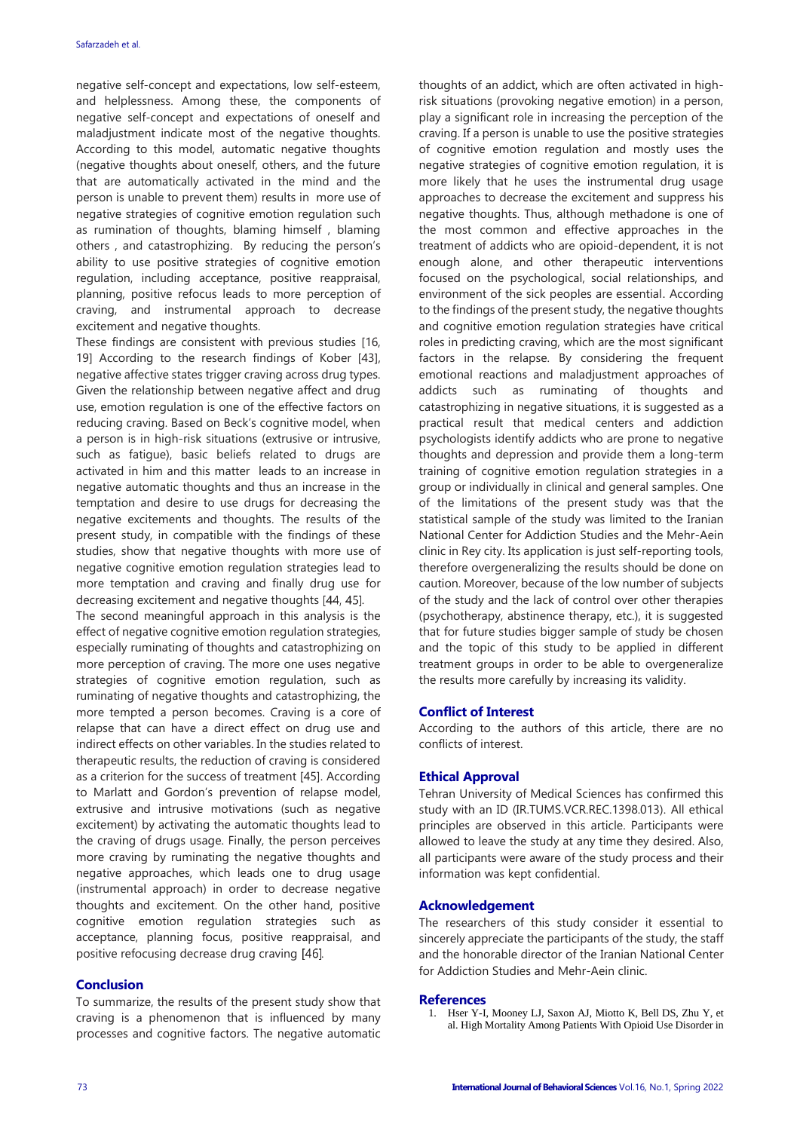negative self-concept and expectations, low self-esteem, and helplessness. Among these, the components of negative self-concept and expectations of oneself and maladjustment indicate most of the negative thoughts. According to this model, automatic negative thoughts (negative thoughts about oneself, others, and the future that are automatically activated in the mind and the person is unable to prevent them) results in more use of negative strategies of cognitive emotion regulation such as rumination of thoughts, blaming himself , blaming others , and catastrophizing. By reducing the person's ability to use positive strategies of cognitive emotion regulation, including acceptance, positive reappraisal, planning, positive refocus leads to more perception of craving, and instrumental approach to decrease excitement and negative thoughts.

These findings are consistent with previous studies [16, 19] According to the research findings of Kober [43], negative affective states trigger craving across drug types. Given the relationship between negative affect and drug use, emotion regulation is one of the effective factors on reducing craving. Based on Beck's cognitive model, when a person is in high-risk situations (extrusive or intrusive, such as fatigue), basic beliefs related to drugs are activated in him and this matter leads to an increase in negative automatic thoughts and thus an increase in the temptation and desire to use drugs for decreasing the negative excitements and thoughts. The results of the present study, in compatible with the findings of these studies, show that negative thoughts with more use of negative cognitive emotion regulation strategies lead to more temptation and craving and finally drug use for decreasing excitement and negative thoughts [44, 45].

The second meaningful approach in this analysis is the effect of negative cognitive emotion regulation strategies, especially ruminating of thoughts and catastrophizing on more perception of craving. The more one uses negative strategies of cognitive emotion regulation, such as ruminating of negative thoughts and catastrophizing, the more tempted a person becomes. Craving is a core of relapse that can have a direct effect on drug use and indirect effects on other variables. In the studies related to therapeutic results, the reduction of craving is considered as a criterion for the success of treatment [45]. According to Marlatt and Gordon's prevention of relapse model, extrusive and intrusive motivations (such as negative excitement) by activating the automatic thoughts lead to the craving of drugs usage. Finally, the person perceives more craving by ruminating the negative thoughts and negative approaches, which leads one to drug usage (instrumental approach) in order to decrease negative thoughts and excitement. On the other hand, positive cognitive emotion regulation strategies such as acceptance, planning focus, positive reappraisal, and positive refocusing decrease drug craving [46].

### **Conclusion**

To summarize, the results of the present study show that craving is a phenomenon that is influenced by many processes and cognitive factors. The negative automatic thoughts of an addict, which are often activated in highrisk situations (provoking negative emotion) in a person, play a significant role in increasing the perception of the craving. If a person is unable to use the positive strategies of cognitive emotion regulation and mostly uses the negative strategies of cognitive emotion regulation, it is more likely that he uses the instrumental drug usage approaches to decrease the excitement and suppress his negative thoughts. Thus, although methadone is one of the most common and effective approaches in the treatment of addicts who are opioid-dependent, it is not enough alone, and other therapeutic interventions focused on the psychological, social relationships, and environment of the sick peoples are essential. According to the findings of the present study, the negative thoughts and cognitive emotion regulation strategies have critical roles in predicting craving, which are the most significant factors in the relapse. By considering the frequent emotional reactions and maladjustment approaches of addicts such as ruminating of thoughts and catastrophizing in negative situations, it is suggested as a practical result that medical centers and addiction psychologists identify addicts who are prone to negative thoughts and depression and provide them a long-term training of cognitive emotion regulation strategies in a group or individually in clinical and general samples. One of the limitations of the present study was that the statistical sample of the study was limited to the Iranian National Center for Addiction Studies and the Mehr-Aein clinic in Rey city. Its application is just self-reporting tools, therefore overgeneralizing the results should be done on caution. Moreover, because of the low number of subjects of the study and the lack of control over other therapies (psychotherapy, abstinence therapy, etc.), it is suggested that for future studies bigger sample of study be chosen and the topic of this study to be applied in different treatment groups in order to be able to overgeneralize the results more carefully by increasing its validity.

#### **Conflict of Interest**

According to the authors of this article, there are no conflicts of interest.

#### **Ethical Approval**

Tehran University of Medical Sciences has confirmed this study with an ID (IR.TUMS.VCR.REC.1398.013). All ethical principles are observed in this article. Participants were allowed to leave the study at any time they desired. Also, all participants were aware of the study process and their information was kept confidential.

#### **Acknowledgement**

The researchers of this study consider it essential to sincerely appreciate the participants of the study, the staff and the honorable director of the Iranian National Center for Addiction Studies and Mehr-Aein clinic.

#### **References**

1. Hser Y-I, Mooney LJ, Saxon AJ, Miotto K, Bell DS, Zhu Y, et al. High Mortality Among Patients With Opioid Use Disorder in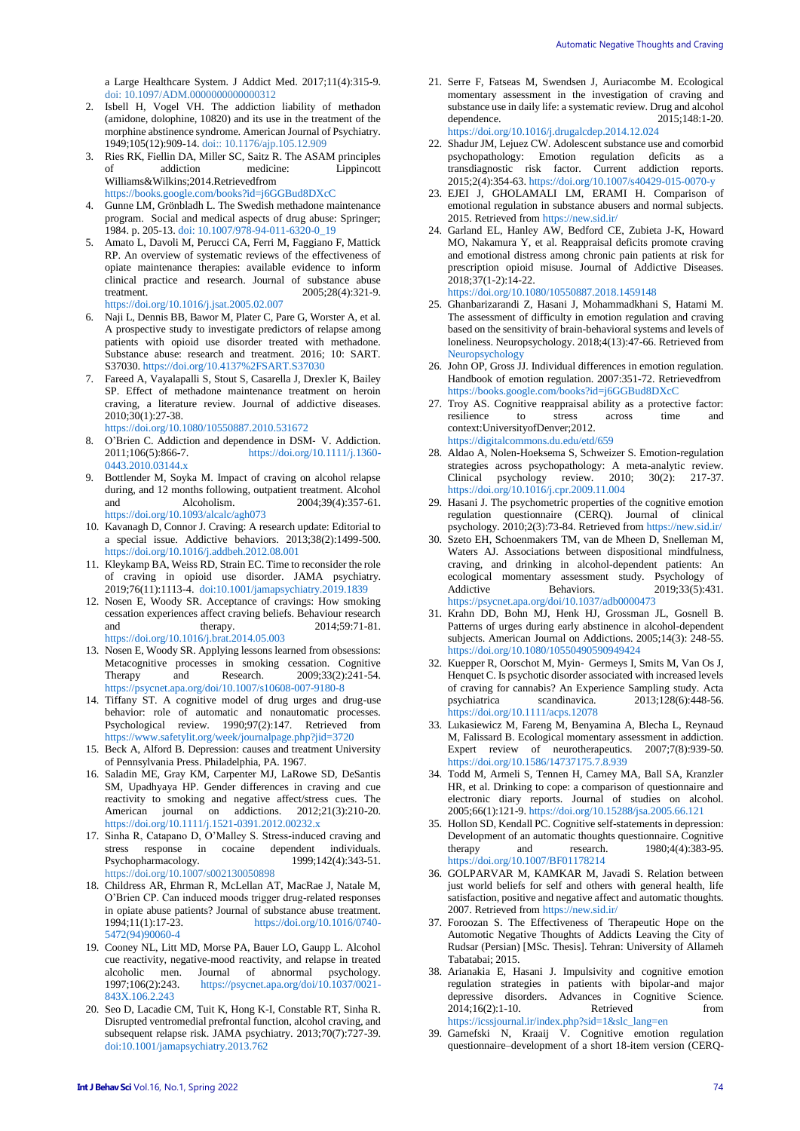a Large Healthcare System. J Addict Med. 2017;11(4):315-9. doi: [10.1097/ADM.0000000000000312](https://dx.doi.org/10.1097%2FADM.0000000000000312)

- 2. Isbell H, Vogel VH. The addiction liability of methadon (amidone, dolophine, 10820) and its use in the treatment of the morphine abstinence syndrome. American Journal of Psychiatry. 1949;105(12):909-14. doi:: [10.1176/ajp.105.12.909](https://doi.org/10.1176/ajp.105.12.909)
- 3. Ries RK, Fiellin DA, Miller SC, Saitz R. The ASAM principles addiction medicine: Lippincott Williams&Wilkins;2014.Retrievedfro[m](https://books.google.com/books?id=j6GGBud8DXcC) <https://books.google.com/books?id=j6GGBud8DXcC>
- 
- 4. Gunne LM, Grönbladh L. The Swedish methadone maintenance program. Social and medical aspects of drug abuse: Springer; 1984. p. 205-13. [doi: 10.1007/978-94-011-6320-0\\_19](doi:%2010.1007/978-94-011-6320-0_19)
- 5. Amato L, Davoli M, Perucci CA, Ferri M, Faggiano F, Mattick RP. An overview of systematic reviews of the effectiveness of opiate maintenance therapies: available evidence to inform clinical practice and research. Journal of substance abuse treatment. 2005;28(4):321-9. <https://doi.org/10.1016/j.jsat.2005.02.007>
- 6. Naji L, Dennis BB, Bawor M, Plater C, Pare G, Worster A, et al. A prospective study to investigate predictors of relapse among patients with opioid use disorder treated with methadone. Substance abuse: research and treatment. 2016; 10: SART. S37030. <https://doi.org/10.4137%2FSART.S37030>
- 7. Fareed A, Vayalapalli S, Stout S, Casarella J, Drexler K, Bailey SP. Effect of methadone maintenance treatment on heroin craving, a literature review. Journal of addictive diseases. 2010;30(1):27-38.
- <https://doi.org/10.1080/10550887.2010.531672>
- 8. O'Brien C. Addiction and dependence in DSM- V. Addiction.<br>2011:106(5):866-7. https://doi.org/10.1111/i.1360[https://doi.org/10.1111/j.1360-](https://doi.org/10.1111/j.1360-0443.2010.03144.x) [0443.2010.03144.x](https://doi.org/10.1111/j.1360-0443.2010.03144.x)
- 9. Bottlender M, Soyka M. Impact of craving on alcohol relapse during, and 12 months following, outpatient treatment. Alcohol and Alcoholism. 2004;39(4):357-61. <https://doi.org/10.1093/alcalc/agh073>
- 10. Kavanagh D, Connor J. Craving: A research update: Editorial to a special issue. Addictive behaviors. 2013;38(2):1499-500. <https://doi.org/10.1016/j.addbeh.2012.08.001>
- 11. Kleykamp BA, Weiss RD, Strain EC. Time to reconsider the role of craving in opioid use disorder. JAMA psychiatry. 2019;76(11):1113-4.<doi:10.1001/jamapsychiatry.2019.1839>
- 12. Nosen E, Woody SR. Acceptance of cravings: How smoking cessation experiences affect craving beliefs. Behaviour research and therapy. 2014;59:71-81. <https://doi.org/10.1016/j.brat.2014.05.003>
- 13. Nosen E, Woody SR. Applying lessons learned from obsessions: Metacognitive processes in smoking cessation. Cognitive<br>Therapy and Research. 2009:33(2):241-54. Therapy and Research. 2009;33(2):241-54. <https://psycnet.apa.org/doi/10.1007/s10608-007-9180-8>
- 14. Tiffany ST. A cognitive model of drug urges and drug-use behavior: role of automatic and nonautomatic processes. Psychological review. 1990;97(2):147. Retrieved from <https://www.safetylit.org/week/journalpage.php?jid=3720>
- 15. Beck A, Alford B. Depression: causes and treatment University of Pennsylvania Press. Philadelphia, PA. 1967.
- 16. Saladin ME, Gray KM, Carpenter MJ, LaRowe SD, DeSantis SM, Upadhyaya HP. Gender differences in craving and cue reactivity to smoking and negative affect/stress cues. The American journal on addictions. 2012;21(3):210-20. <https://doi.org/10.1111/j.1521-0391.2012.00232.x>
- 17. Sinha R, Catapano D, O'Malley S. Stress-induced craving and stress response in cocaine dependent individuals. stress response in cocaine dependent individuals.<br>Psychopharmacology. 1999;142(4):343-51. Psychopharmacology. <https://doi.org/10.1007/s002130050898>
- 18. Childress AR, Ehrman R, McLellan AT, MacRae J, Natale M, O'Brien CP. Can induced moods trigger drug-related responses in opiate abuse patients? Journal of substance abuse treatment. 1994;11(1):17-23. [https://doi.org/10.1016/0740-](https://doi.org/10.1016/0740-5472(94)90060-4) [5472\(94\)90060-4](https://doi.org/10.1016/0740-5472(94)90060-4)
- 19. Cooney NL, Litt MD, Morse PA, Bauer LO, Gaupp L. Alcohol cue reactivity, negative-mood reactivity, and relapse in treated alcoholic men. Journal of abnormal psychology.<br>1997;106(2):243. https://psycnet.apa.org/doi/10.1037/0021[https://psycnet.apa.org/doi/10.1037/0021-](https://psycnet.apa.org/doi/10.1037/0021-843X.106.2.243) [843X.106.2.243](https://psycnet.apa.org/doi/10.1037/0021-843X.106.2.243)
- 20. Seo D, Lacadie CM, Tuit K, Hong K-I, Constable RT, Sinha R. Disrupted ventromedial prefrontal function, alcohol craving, and subsequent relapse risk. JAMA psychiatry. 2013;70(7):727-39. <doi:10.1001/jamapsychiatry.2013.762>
- 21. Serre F, Fatseas M, Swendsen J, Auriacombe M. Ecological momentary assessment in the investigation of craving and substance use in daily life: a systematic review. Drug and alcohol dependence. 2015;148:1-20. <https://doi.org/10.1016/j.drugalcdep.2014.12.024>
- 22. Shadur JM, Lejuez CW. Adolescent substance use and comorbid psychopathology: Emotion regulation deficits as a transdiagnostic risk factor. Current addiction reports. 2015;2(4):354-63[. https://doi.org/10.1007/s40429-015-0070-y](https://doi.org/10.1007/s40429-015-0070-y)
- 23. EJEI J, GHOLAMALI LM, ERAMI H. Comparison of emotional regulation in substance abusers and normal subjects. 2015. Retrieved from<https://new.sid.ir/>
- 24. Garland EL, Hanley AW, Bedford CE, Zubieta J-K, Howard MO, Nakamura Y, et al. Reappraisal deficits promote craving and emotional distress among chronic pain patients at risk for prescription opioid misuse. Journal of Addictive Diseases. 2018;37(1-2):14-22. <https://doi.org/10.1080/10550887.2018.1459148>
- 25. Ghanbarizarandi Z, Hasani J, Mohammadkhani S, Hatami M. The assessment of difficulty in emotion regulation and craving based on the sensitivity of brain-behavioral systems and levels of loneliness. Neuropsychology. 2018;4(13):47-66. Retrieved fro[m](file:///C:/Users/SAF/Desktop/Neuropsychology)  [Neuropsychology](file:///C:/Users/SAF/Desktop/Neuropsychology)
- 26. John OP, Gross JJ. Individual differences in emotion regulation. Handbook of emotion regulation. 2007:351-72. Retrievedfro[m](https://books.google.com/books?id=j6GGBud8DXcC) <https://books.google.com/books?id=j6GGBud8DXcC>
- 27. Troy AS. Cognitive reappraisal ability as a protective factor: resilience to stress across time and context:UniversityofDenver;2012. <https://digitalcommons.du.edu/etd/659>
- 28. Aldao A, Nolen-Hoeksema S, Schweizer S. Emotion-regulation strategies across psychopathology: A meta-analytic review. Clinical psychology review. 2010; 30(2): 217-37. <https://doi.org/10.1016/j.cpr.2009.11.004>
- 29. Hasani J. The psychometric properties of the cognitive emotion regulation questionnaire (CERQ). Journal of clinical psychology. 2010;2(3):73-84. Retrieved fro[m https://new.sid.ir/](https://new.sid.ir/)
- 30. Szeto EH, Schoenmakers TM, van de Mheen D, Snelleman M, Waters AJ. Associations between dispositional mindfulness, craving, and drinking in alcohol-dependent patients: An ecological momentary assessment study. Psychology of Addictive Behaviors. 2019:33(5):431. Addictive Behaviors. 2019:33(5):431. <https://psycnet.apa.org/doi/10.1037/adb0000473>
- 31. Krahn DD, Bohn MJ, Henk HJ, Grossman JL, Gosnell B. Patterns of urges during early abstinence in alcohol-dependent subjects. American Journal on Addictions. 2005;14(3): 248-55. <https://doi.org/10.1080/10550490590949424>
- 32. Kuepper R, Oorschot M, Myin‐ Germeys I, Smits M, Van Os J, Henquet C. Is psychotic disorder associated with increased levels of craving for cannabis? An Experience Sampling study. Acta psychiatrica scandinavica. 2013;128(6):448-56. <https://doi.org/10.1111/acps.12078>
- 33. Lukasiewicz M, Fareng M, Benyamina A, Blecha L, Reynaud M, Falissard B. Ecological momentary assessment in addiction. Expert review of neurotherapeutics. 2007;7(8):939-50. <https://doi.org/10.1586/14737175.7.8.939>
- 34. Todd M, Armeli S, Tennen H, Carney MA, Ball SA, Kranzler HR, et al. Drinking to cope: a comparison of questionnaire and electronic diary reports. Journal of studies on alcohol. 2005;66(1):121-9[. https://doi.org/10.15288/jsa.2005.66.121](https://doi.org/10.15288/jsa.2005.66.121)
- 35. Hollon SD, Kendall PC. Cognitive self-statements in depression: Development of an automatic thoughts questionnaire. Cognitive<br>therapy and research. 1980;4(4):383-95. therapy and research. 1980;4(4):383-95. <https://doi.org/10.1007/BF01178214>
- 36. GOLPARVAR M, KAMKAR M, Javadi S. Relation between just world beliefs for self and others with general health, life satisfaction, positive and negative affect and automatic thoughts. 2007. Retrieved from<https://new.sid.ir/>
- 37. Foroozan S. The Effectiveness of Therapeutic Hope on the Automotic Negative Thoughts of Addicts Leaving the City of Rudsar (Persian) [MSc. Thesis]. Tehran: University of Allameh Tabatabai; 2015.
- 38. Arianakia E, Hasani J. Impulsivity and cognitive emotion regulation strategies in patients with bipolar-and major depressive disorders. Advances in Cognitive Science. 2014;16(2):1-10. Retrieved from [https://icssjournal.ir/index.php?sid=1&slc\\_lang=en](https://icssjournal.ir/index.php?sid=1&slc_lang=en)
- 39. Garnefski N, Kraaij V. Cognitive emotion regulation questionnaire–development of a short 18-item version (CERQ-